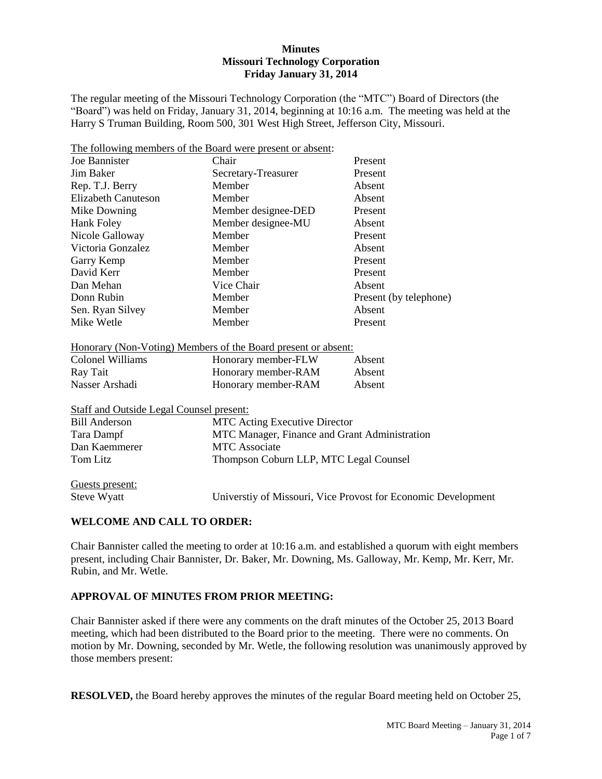#### **Minutes Missouri Technology Corporation Friday January 31, 2014**

The regular meeting of the Missouri Technology Corporation (the "MTC") Board of Directors (the "Board") was held on Friday, January 31, 2014, beginning at 10:16 a.m. The meeting was held at the Harry S Truman Building, Room 500, 301 West High Street, Jefferson City, Missouri.

| The following members of the Board were present or absent: |                     |                        |
|------------------------------------------------------------|---------------------|------------------------|
| Joe Bannister                                              | Chair               | Present                |
| Jim Baker                                                  | Secretary-Treasurer | Present                |
| Rep. T.J. Berry                                            | Member              | Absent                 |
| Elizabeth Canuteson                                        | Member              | Absent                 |
| Mike Downing                                               | Member designee-DED | Present                |
| Hank Foley                                                 | Member designee-MU  | Absent                 |
| Nicole Galloway                                            | Member              | Present                |
| Victoria Gonzalez                                          | Member              | Absent                 |
| Garry Kemp                                                 | Member              | Present                |
| David Kerr                                                 | Member              | Present                |
| Dan Mehan                                                  | Vice Chair          | Absent                 |
| Donn Rubin                                                 | Member              | Present (by telephone) |
| Sen. Ryan Silvey                                           | Member              | Absent                 |
| Mike Wetle                                                 | Member              | Present                |

|  |  | Honorary (Non-Voting) Members of the Board present or absent: |  |
|--|--|---------------------------------------------------------------|--|
|  |  |                                                               |  |

| Colonel Williams | Honorary member-FLW | Absent |
|------------------|---------------------|--------|
| Ray Tait         | Honorary member-RAM | Absent |
| Nasser Arshadi   | Honorary member-RAM | Absent |

| Staff and Outside Legal Counsel present: |  |  |
|------------------------------------------|--|--|
|                                          |  |  |

| <b>Bill Anderson</b> | <b>MTC</b> Acting Executive Director          |
|----------------------|-----------------------------------------------|
| Tara Dampf           | MTC Manager, Finance and Grant Administration |
| Dan Kaemmerer        | MTC Associate                                 |
| Tom Litz             | Thompson Coburn LLP, MTC Legal Counsel        |
|                      |                                               |

Guests present:

Steve Wyatt Universtiy of Missouri, Vice Provost for Economic Development

# **WELCOME AND CALL TO ORDER:**

Chair Bannister called the meeting to order at 10:16 a.m. and established a quorum with eight members present, including Chair Bannister, Dr. Baker, Mr. Downing, Ms. Galloway, Mr. Kemp, Mr. Kerr, Mr. Rubin, and Mr. Wetle.

## **APPROVAL OF MINUTES FROM PRIOR MEETING:**

Chair Bannister asked if there were any comments on the draft minutes of the October 25, 2013 Board meeting, which had been distributed to the Board prior to the meeting. There were no comments. On motion by Mr. Downing, seconded by Mr. Wetle, the following resolution was unanimously approved by those members present:

**RESOLVED,** the Board hereby approves the minutes of the regular Board meeting held on October 25,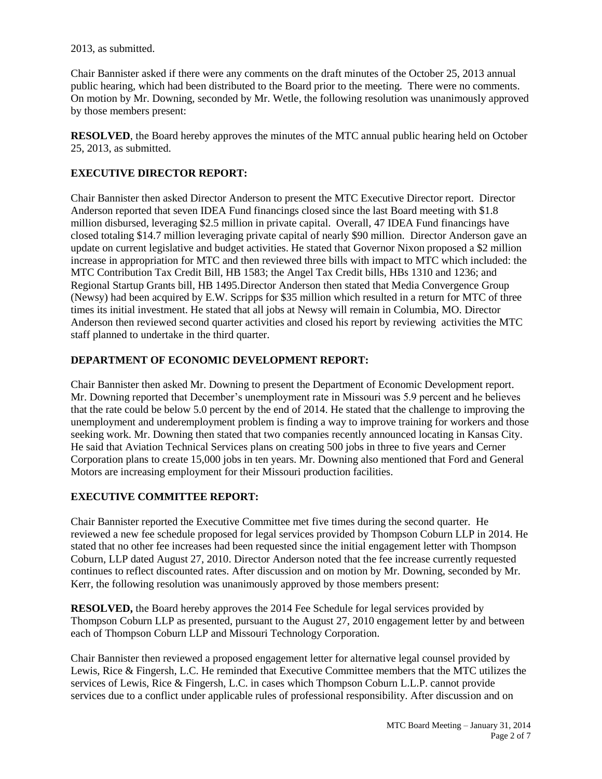2013, as submitted.

Chair Bannister asked if there were any comments on the draft minutes of the October 25, 2013 annual public hearing, which had been distributed to the Board prior to the meeting. There were no comments. On motion by Mr. Downing, seconded by Mr. Wetle, the following resolution was unanimously approved by those members present:

**RESOLVED**, the Board hereby approves the minutes of the MTC annual public hearing held on October 25, 2013, as submitted.

# **EXECUTIVE DIRECTOR REPORT:**

Chair Bannister then asked Director Anderson to present the MTC Executive Director report. Director Anderson reported that seven IDEA Fund financings closed since the last Board meeting with \$1.8 million disbursed, leveraging \$2.5 million in private capital. Overall, 47 IDEA Fund financings have closed totaling \$14.7 million leveraging private capital of nearly \$90 million. Director Anderson gave an update on current legislative and budget activities. He stated that Governor Nixon proposed a \$2 million increase in appropriation for MTC and then reviewed three bills with impact to MTC which included: the MTC Contribution Tax Credit Bill, HB 1583; the Angel Tax Credit bills, HBs 1310 and 1236; and Regional Startup Grants bill, HB 1495.Director Anderson then stated that Media Convergence Group (Newsy) had been acquired by E.W. Scripps for \$35 million which resulted in a return for MTC of three times its initial investment. He stated that all jobs at Newsy will remain in Columbia, MO. Director Anderson then reviewed second quarter activities and closed his report by reviewing activities the MTC staff planned to undertake in the third quarter.

### **DEPARTMENT OF ECONOMIC DEVELOPMENT REPORT:**

Chair Bannister then asked Mr. Downing to present the Department of Economic Development report. Mr. Downing reported that December's unemployment rate in Missouri was 5.9 percent and he believes that the rate could be below 5.0 percent by the end of 2014. He stated that the challenge to improving the unemployment and underemployment problem is finding a way to improve training for workers and those seeking work. Mr. Downing then stated that two companies recently announced locating in Kansas City. He said that Aviation Technical Services plans on creating 500 jobs in three to five years and Cerner Corporation plans to create 15,000 jobs in ten years. Mr. Downing also mentioned that Ford and General Motors are increasing employment for their Missouri production facilities.

# **EXECUTIVE COMMITTEE REPORT:**

Chair Bannister reported the Executive Committee met five times during the second quarter. He reviewed a new fee schedule proposed for legal services provided by Thompson Coburn LLP in 2014. He stated that no other fee increases had been requested since the initial engagement letter with Thompson Coburn, LLP dated August 27, 2010. Director Anderson noted that the fee increase currently requested continues to reflect discounted rates. After discussion and on motion by Mr. Downing, seconded by Mr. Kerr, the following resolution was unanimously approved by those members present:

**RESOLVED,** the Board hereby approves the 2014 Fee Schedule for legal services provided by Thompson Coburn LLP as presented, pursuant to the August 27, 2010 engagement letter by and between each of Thompson Coburn LLP and Missouri Technology Corporation.

Chair Bannister then reviewed a proposed engagement letter for alternative legal counsel provided by Lewis, Rice & Fingersh, L.C. He reminded that Executive Committee members that the MTC utilizes the services of Lewis, Rice & Fingersh, L.C. in cases which Thompson Coburn L.L.P. cannot provide services due to a conflict under applicable rules of professional responsibility. After discussion and on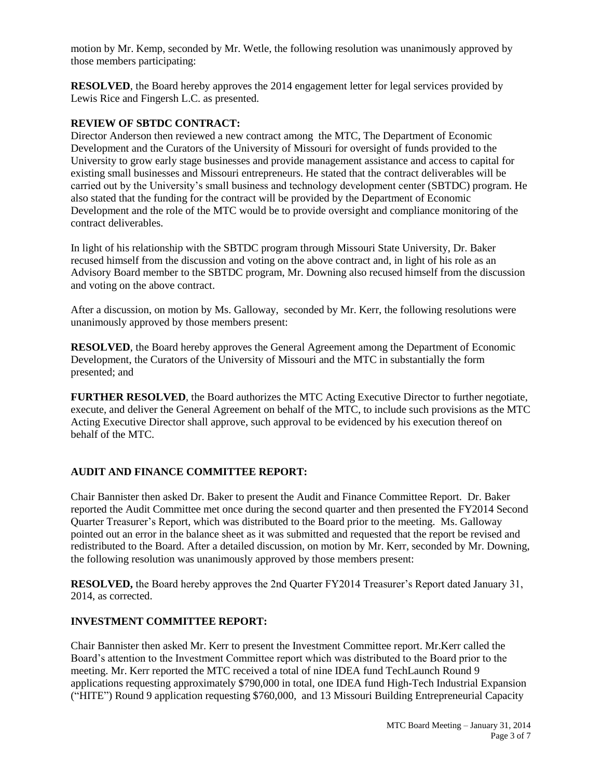motion by Mr. Kemp, seconded by Mr. Wetle, the following resolution was unanimously approved by those members participating:

**RESOLVED**, the Board hereby approves the 2014 engagement letter for legal services provided by Lewis Rice and Fingersh L.C. as presented.

#### **REVIEW OF SBTDC CONTRACT:**

Director Anderson then reviewed a new contract among the MTC, The Department of Economic Development and the Curators of the University of Missouri for oversight of funds provided to the University to grow early stage businesses and provide management assistance and access to capital for existing small businesses and Missouri entrepreneurs. He stated that the contract deliverables will be carried out by the University's small business and technology development center (SBTDC) program. He also stated that the funding for the contract will be provided by the Department of Economic Development and the role of the MTC would be to provide oversight and compliance monitoring of the contract deliverables.

In light of his relationship with the SBTDC program through Missouri State University, Dr. Baker recused himself from the discussion and voting on the above contract and, in light of his role as an Advisory Board member to the SBTDC program, Mr. Downing also recused himself from the discussion and voting on the above contract.

After a discussion, on motion by Ms. Galloway, seconded by Mr. Kerr, the following resolutions were unanimously approved by those members present:

**RESOLVED**, the Board hereby approves the General Agreement among the Department of Economic Development, the Curators of the University of Missouri and the MTC in substantially the form presented; and

**FURTHER RESOLVED**, the Board authorizes the MTC Acting Executive Director to further negotiate, execute, and deliver the General Agreement on behalf of the MTC, to include such provisions as the MTC Acting Executive Director shall approve, such approval to be evidenced by his execution thereof on behalf of the MTC.

# **AUDIT AND FINANCE COMMITTEE REPORT:**

Chair Bannister then asked Dr. Baker to present the Audit and Finance Committee Report. Dr. Baker reported the Audit Committee met once during the second quarter and then presented the FY2014 Second Quarter Treasurer's Report, which was distributed to the Board prior to the meeting. Ms. Galloway pointed out an error in the balance sheet as it was submitted and requested that the report be revised and redistributed to the Board. After a detailed discussion, on motion by Mr. Kerr, seconded by Mr. Downing, the following resolution was unanimously approved by those members present:

**RESOLVED,** the Board hereby approves the 2nd Quarter FY2014 Treasurer's Report dated January 31, 2014, as corrected.

#### **INVESTMENT COMMITTEE REPORT:**

Chair Bannister then asked Mr. Kerr to present the Investment Committee report. Mr.Kerr called the Board's attention to the Investment Committee report which was distributed to the Board prior to the meeting. Mr. Kerr reported the MTC received a total of nine IDEA fund TechLaunch Round 9 applications requesting approximately \$790,000 in total, one IDEA fund High-Tech Industrial Expansion ("HITE") Round 9 application requesting \$760,000, and 13 Missouri Building Entrepreneurial Capacity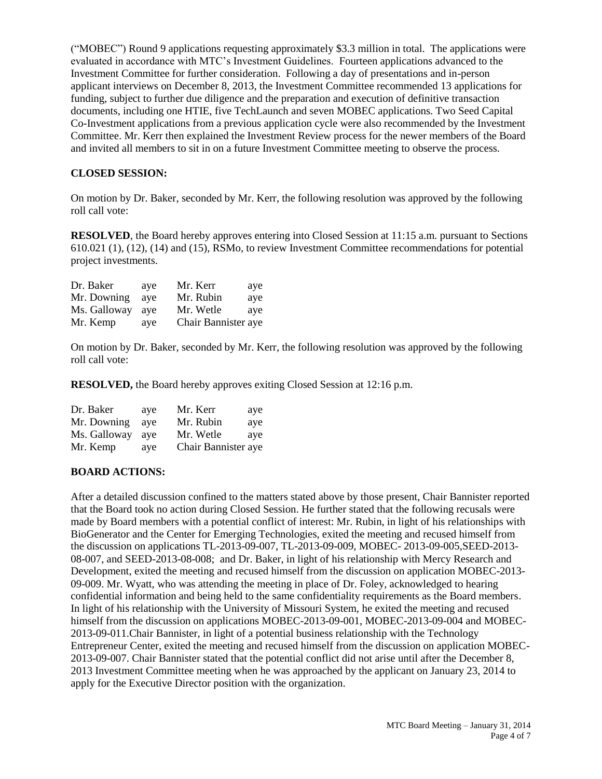("MOBEC") Round 9 applications requesting approximately \$3.3 million in total. The applications were evaluated in accordance with MTC's Investment Guidelines. Fourteen applications advanced to the Investment Committee for further consideration. Following a day of presentations and in-person applicant interviews on December 8, 2013, the Investment Committee recommended 13 applications for funding, subject to further due diligence and the preparation and execution of definitive transaction documents, including one HTIE, five TechLaunch and seven MOBEC applications. Two Seed Capital Co-Investment applications from a previous application cycle were also recommended by the Investment Committee. Mr. Kerr then explained the Investment Review process for the newer members of the Board and invited all members to sit in on a future Investment Committee meeting to observe the process.

### **CLOSED SESSION:**

On motion by Dr. Baker, seconded by Mr. Kerr, the following resolution was approved by the following roll call vote:

**RESOLVED**, the Board hereby approves entering into Closed Session at 11:15 a.m. pursuant to Sections 610.021 (1), (12), (14) and (15), RSMo, to review Investment Committee recommendations for potential project investments.

| Dr. Baker    | ave | Mr. Kerr            | aye |
|--------------|-----|---------------------|-----|
| Mr. Downing  | ave | Mr. Rubin           | aye |
| Ms. Galloway | ave | Mr. Wetle           | ave |
| Mr. Kemp     | aye | Chair Bannister aye |     |

On motion by Dr. Baker, seconded by Mr. Kerr, the following resolution was approved by the following roll call vote:

**RESOLVED,** the Board hereby approves exiting Closed Session at 12:16 p.m.

| Dr. Baker    | ave | Mr. Kerr<br>aye     |
|--------------|-----|---------------------|
| Mr. Downing  | ave | Mr. Rubin<br>aye    |
| Ms. Galloway | ave | Mr. Wetle<br>ave    |
| Mr. Kemp     | aye | Chair Bannister aye |

#### **BOARD ACTIONS:**

After a detailed discussion confined to the matters stated above by those present, Chair Bannister reported that the Board took no action during Closed Session. He further stated that the following recusals were made by Board members with a potential conflict of interest: Mr. Rubin, in light of his relationships with BioGenerator and the Center for Emerging Technologies, exited the meeting and recused himself from the discussion on applications TL-2013-09-007, TL-2013-09-009, MOBEC- 2013-09-005,SEED-2013- 08-007, and SEED-2013-08-008; and Dr. Baker, in light of his relationship with Mercy Research and Development, exited the meeting and recused himself from the discussion on application MOBEC-2013- 09-009. Mr. Wyatt, who was attending the meeting in place of Dr. Foley, acknowledged to hearing confidential information and being held to the same confidentiality requirements as the Board members. In light of his relationship with the University of Missouri System, he exited the meeting and recused himself from the discussion on applications MOBEC-2013-09-001, MOBEC-2013-09-004 and MOBEC-2013-09-011.Chair Bannister, in light of a potential business relationship with the Technology Entrepreneur Center, exited the meeting and recused himself from the discussion on application MOBEC-2013-09-007. Chair Bannister stated that the potential conflict did not arise until after the December 8, 2013 Investment Committee meeting when he was approached by the applicant on January 23, 2014 to apply for the Executive Director position with the organization.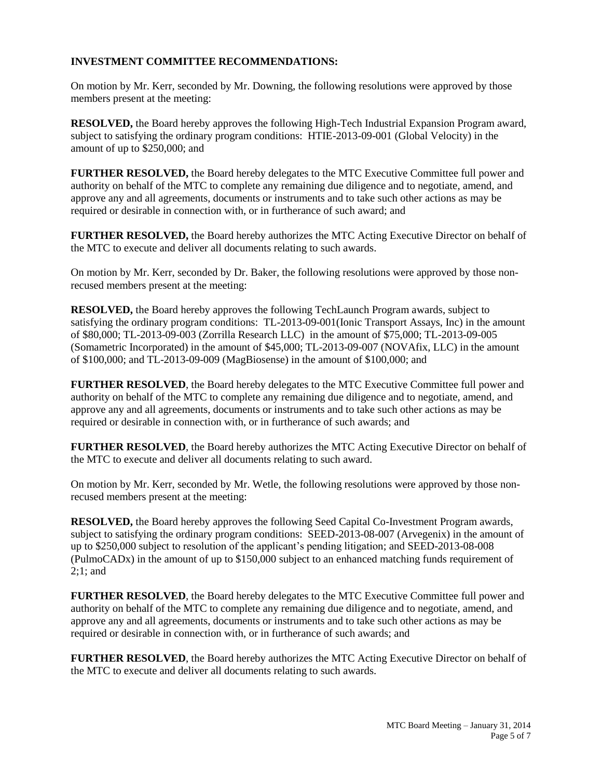## **INVESTMENT COMMITTEE RECOMMENDATIONS:**

On motion by Mr. Kerr, seconded by Mr. Downing, the following resolutions were approved by those members present at the meeting:

**RESOLVED,** the Board hereby approves the following High-Tech Industrial Expansion Program award, subject to satisfying the ordinary program conditions: HTIE-2013-09-001 (Global Velocity) in the amount of up to \$250,000; and

**FURTHER RESOLVED,** the Board hereby delegates to the MTC Executive Committee full power and authority on behalf of the MTC to complete any remaining due diligence and to negotiate, amend, and approve any and all agreements, documents or instruments and to take such other actions as may be required or desirable in connection with, or in furtherance of such award; and

**FURTHER RESOLVED,** the Board hereby authorizes the MTC Acting Executive Director on behalf of the MTC to execute and deliver all documents relating to such awards.

On motion by Mr. Kerr, seconded by Dr. Baker, the following resolutions were approved by those nonrecused members present at the meeting:

**RESOLVED,** the Board hereby approves the following TechLaunch Program awards, subject to satisfying the ordinary program conditions: TL-2013-09-001(Ionic Transport Assays, Inc) in the amount of \$80,000; TL-2013-09-003 (Zorrilla Research LLC) in the amount of \$75,000; TL-2013-09-005 (Somametric Incorporated) in the amount of \$45,000; TL-2013-09-007 (NOVAfix, LLC) in the amount of \$100,000; and TL-2013-09-009 (MagBiosense) in the amount of \$100,000; and

**FURTHER RESOLVED**, the Board hereby delegates to the MTC Executive Committee full power and authority on behalf of the MTC to complete any remaining due diligence and to negotiate, amend, and approve any and all agreements, documents or instruments and to take such other actions as may be required or desirable in connection with, or in furtherance of such awards; and

**FURTHER RESOLVED**, the Board hereby authorizes the MTC Acting Executive Director on behalf of the MTC to execute and deliver all documents relating to such award.

On motion by Mr. Kerr, seconded by Mr. Wetle, the following resolutions were approved by those nonrecused members present at the meeting:

**RESOLVED,** the Board hereby approves the following Seed Capital Co-Investment Program awards, subject to satisfying the ordinary program conditions: SEED-2013-08-007 (Arvegenix) in the amount of up to \$250,000 subject to resolution of the applicant's pending litigation; and SEED-2013-08-008 (PulmoCADx) in the amount of up to \$150,000 subject to an enhanced matching funds requirement of 2;1; and

**FURTHER RESOLVED**, the Board hereby delegates to the MTC Executive Committee full power and authority on behalf of the MTC to complete any remaining due diligence and to negotiate, amend, and approve any and all agreements, documents or instruments and to take such other actions as may be required or desirable in connection with, or in furtherance of such awards; and

**FURTHER RESOLVED**, the Board hereby authorizes the MTC Acting Executive Director on behalf of the MTC to execute and deliver all documents relating to such awards.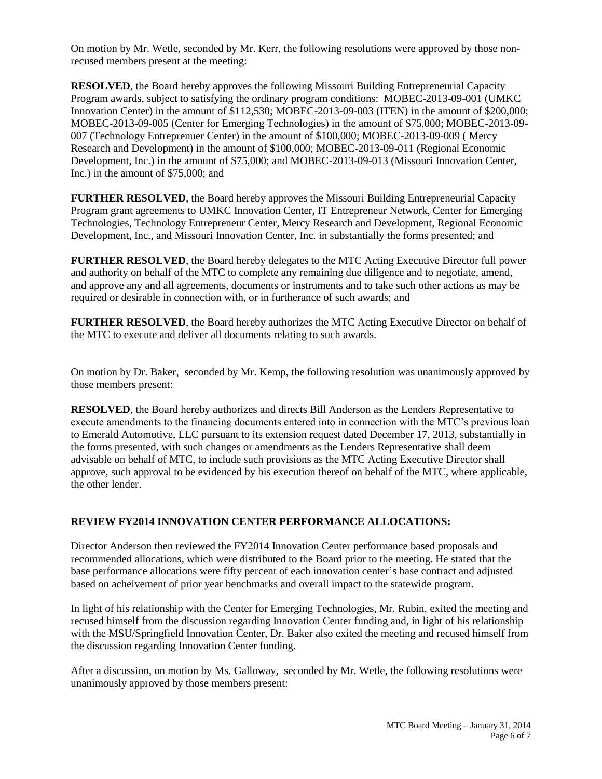On motion by Mr. Wetle, seconded by Mr. Kerr, the following resolutions were approved by those nonrecused members present at the meeting:

**RESOLVED**, the Board hereby approves the following Missouri Building Entrepreneurial Capacity Program awards, subject to satisfying the ordinary program conditions: MOBEC-2013-09-001 (UMKC Innovation Center) in the amount of \$112,530; MOBEC-2013-09-003 (ITEN) in the amount of \$200,000; MOBEC-2013-09-005 (Center for Emerging Technologies) in the amount of \$75,000; MOBEC-2013-09- 007 (Technology Entreprenuer Center) in the amount of \$100,000; MOBEC-2013-09-009 ( Mercy Research and Development) in the amount of \$100,000; MOBEC-2013-09-011 (Regional Economic Development, Inc.) in the amount of \$75,000; and MOBEC-2013-09-013 (Missouri Innovation Center, Inc.) in the amount of \$75,000; and

**FURTHER RESOLVED**, the Board hereby approves the Missouri Building Entrepreneurial Capacity Program grant agreements to UMKC Innovation Center, IT Entrepreneur Network, Center for Emerging Technologies, Technology Entrepreneur Center, Mercy Research and Development, Regional Economic Development, Inc., and Missouri Innovation Center, Inc. in substantially the forms presented; and

**FURTHER RESOLVED**, the Board hereby delegates to the MTC Acting Executive Director full power and authority on behalf of the MTC to complete any remaining due diligence and to negotiate, amend, and approve any and all agreements, documents or instruments and to take such other actions as may be required or desirable in connection with, or in furtherance of such awards; and

**FURTHER RESOLVED**, the Board hereby authorizes the MTC Acting Executive Director on behalf of the MTC to execute and deliver all documents relating to such awards.

On motion by Dr. Baker, seconded by Mr. Kemp, the following resolution was unanimously approved by those members present:

**RESOLVED**, the Board hereby authorizes and directs Bill Anderson as the Lenders Representative to execute amendments to the financing documents entered into in connection with the MTC's previous loan to Emerald Automotive, LLC pursuant to its extension request dated December 17, 2013, substantially in the forms presented, with such changes or amendments as the Lenders Representative shall deem advisable on behalf of MTC, to include such provisions as the MTC Acting Executive Director shall approve, such approval to be evidenced by his execution thereof on behalf of the MTC, where applicable, the other lender.

# **REVIEW FY2014 INNOVATION CENTER PERFORMANCE ALLOCATIONS:**

Director Anderson then reviewed the FY2014 Innovation Center performance based proposals and recommended allocations, which were distributed to the Board prior to the meeting. He stated that the base performance allocations were fifty percent of each innovation center's base contract and adjusted based on acheivement of prior year benchmarks and overall impact to the statewide program.

In light of his relationship with the Center for Emerging Technologies, Mr. Rubin, exited the meeting and recused himself from the discussion regarding Innovation Center funding and, in light of his relationship with the MSU/Springfield Innovation Center, Dr. Baker also exited the meeting and recused himself from the discussion regarding Innovation Center funding.

After a discussion, on motion by Ms. Galloway, seconded by Mr. Wetle, the following resolutions were unanimously approved by those members present: